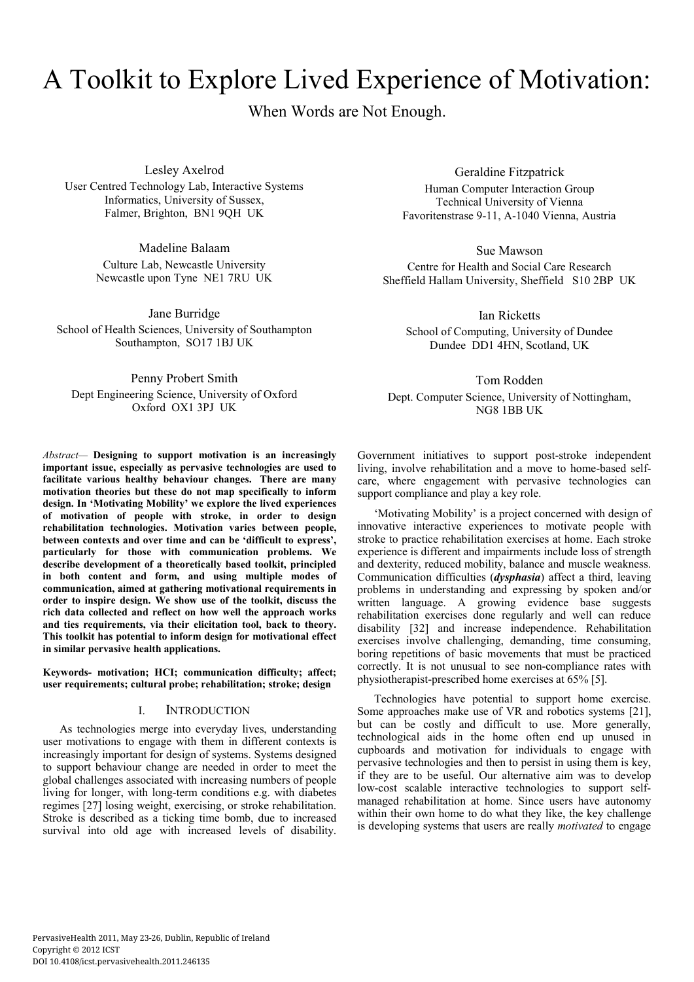# A Toolkit to Explore Lived Experience of Motivation:

When Words are Not Enough.

Lesley Axelrod

User Centred Technology Lab, Interactive Systems Informatics, University of Sussex, Falmer, Brighton, BN1 9QH UK

> Madeline Balaam Culture Lab, Newcastle University Newcastle upon Tyne NE1 7RU UK

Jane Burridge School of Health Sciences, University of Southampton Southampton, SO17 1BJ UK

Penny Probert Smith Dept Engineering Science, University of Oxford Oxford OX1 3PJ UK

*Abstract—* **Designing to support motivation is an increasingly important issue, especially as pervasive technologies are used to facilitate various healthy behaviour changes. There are many motivation theories but these do not map specifically to inform design. In 'Motivating Mobility' we explore the lived experiences of motivation of people with stroke, in order to design rehabilitation technologies. Motivation varies between people, between contexts and over time and can be 'difficult to express', particularly for those with communication problems. We describe development of a theoretically based toolkit, principled in both content and form, and using multiple modes of communication, aimed at gathering motivational requirements in order to inspire design. We show use of the toolkit, discuss the rich data collected and reflect on how well the approach works and ties requirements, via their elicitation tool, back to theory. This toolkit has potential to inform design for motivational effect in similar pervasive health applications.** 

**Keywords- motivation; HCI; communication difficulty; affect; user requirements; cultural probe; rehabilitation; stroke; design** 

## I. INTRODUCTION

As technologies merge into everyday lives, understanding user motivations to engage with them in different contexts is increasingly important for design of systems. Systems designed to support behaviour change are needed in order to meet the global challenges associated with increasing numbers of people living for longer, with long-term conditions e.g. with diabetes regimes [27] losing weight, exercising, or stroke rehabilitation. Stroke is described as a ticking time bomb, due to increased survival into old age with increased levels of disability.

Geraldine Fitzpatrick

Human Computer Interaction Group Technical University of Vienna Favoritenstrase 9-11, A-1040 Vienna, Austria

Sue Mawson Centre for Health and Social Care Research Sheffield Hallam University, Sheffield S10 2BP UK

Ian Ricketts School of Computing, University of Dundee Dundee DD1 4HN, Scotland, UK

Tom Rodden Dept. Computer Science, University of Nottingham, NG8 1BB UK

Government initiatives to support post-stroke independent living, involve rehabilitation and a move to home-based selfcare, where engagement with pervasive technologies can support compliance and play a key role.

'Motivating Mobility' is a project concerned with design of innovative interactive experiences to motivate people with stroke to practice rehabilitation exercises at home. Each stroke experience is different and impairments include loss of strength and dexterity, reduced mobility, balance and muscle weakness. Communication difficulties (*dysphasia*) affect a third, leaving problems in understanding and expressing by spoken and/or written language. A growing evidence base suggests rehabilitation exercises done regularly and well can reduce disability [32] and increase independence. Rehabilitation exercises involve challenging, demanding, time consuming, boring repetitions of basic movements that must be practiced correctly. It is not unusual to see non-compliance rates with physiotherapist-prescribed home exercises at 65% [5].

Technologies have potential to support home exercise. Some approaches make use of VR and robotics systems [21], but can be costly and difficult to use. More generally, technological aids in the home often end up unused in cupboards and motivation for individuals to engage with pervasive technologies and then to persist in using them is key, if they are to be useful. Our alternative aim was to develop low-cost scalable interactive technologies to support selfmanaged rehabilitation at home. Since users have autonomy within their own home to do what they like, the key challenge is developing systems that users are really *motivated* to engage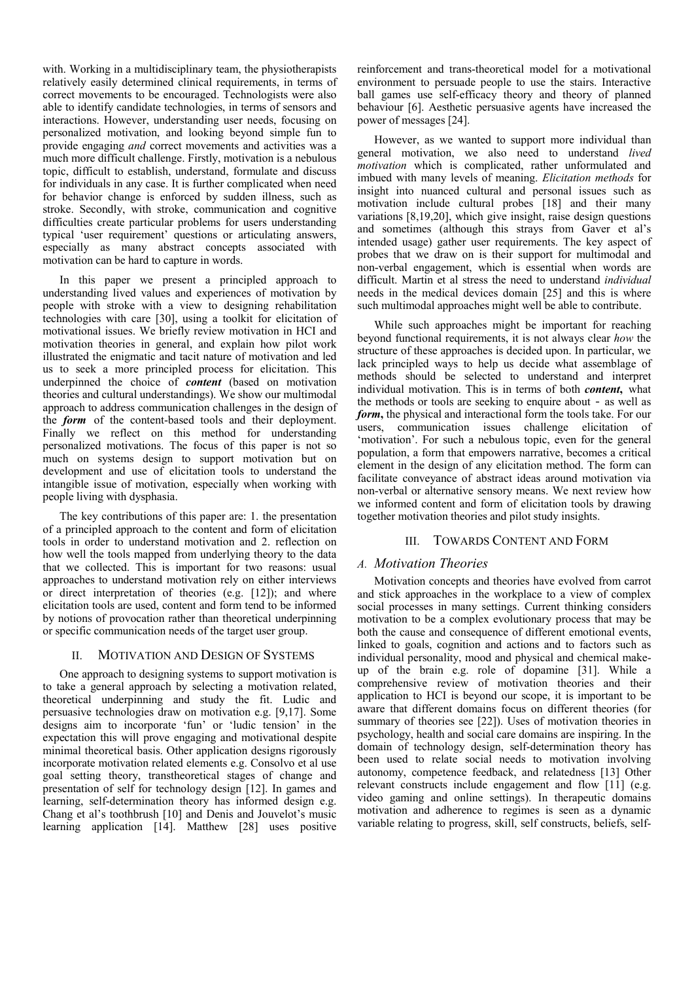with. Working in a multidisciplinary team, the physiotherapists relatively easily determined clinical requirements, in terms of correct movements to be encouraged. Technologists were also able to identify candidate technologies, in terms of sensors and interactions. However, understanding user needs, focusing on personalized motivation, and looking beyond simple fun to provide engaging *and* correct movements and activities was a much more difficult challenge. Firstly, motivation is a nebulous topic, difficult to establish, understand, formulate and discuss for individuals in any case. It is further complicated when need for behavior change is enforced by sudden illness, such as stroke. Secondly, with stroke, communication and cognitive difficulties create particular problems for users understanding typical 'user requirement' questions or articulating answers, especially as many abstract concepts associated with motivation can be hard to capture in words.

In this paper we present a principled approach to understanding lived values and experiences of motivation by people with stroke with a view to designing rehabilitation technologies with care [30], using a toolkit for elicitation of motivational issues. We briefly review motivation in HCI and motivation theories in general, and explain how pilot work illustrated the enigmatic and tacit nature of motivation and led us to seek a more principled process for elicitation. This underpinned the choice of *content* (based on motivation theories and cultural understandings). We show our multimodal approach to address communication challenges in the design of the *form* of the content-based tools and their deployment. Finally we reflect on this method for understanding personalized motivations. The focus of this paper is not so much on systems design to support motivation but on development and use of elicitation tools to understand the intangible issue of motivation, especially when working with people living with dysphasia.

The key contributions of this paper are: 1. the presentation of a principled approach to the content and form of elicitation tools in order to understand motivation and 2. reflection on how well the tools mapped from underlying theory to the data that we collected. This is important for two reasons: usual approaches to understand motivation rely on either interviews or direct interpretation of theories (e.g. [12]); and where elicitation tools are used, content and form tend to be informed by notions of provocation rather than theoretical underpinning or specific communication needs of the target user group.

#### II. MOTIVATION AND DESIGN OF SYSTEMS

One approach to designing systems to support motivation is to take a general approach by selecting a motivation related, theoretical underpinning and study the fit. Ludic and persuasive technologies draw on motivation e.g. [9,17]. Some designs aim to incorporate 'fun' or 'ludic tension' in the expectation this will prove engaging and motivational despite minimal theoretical basis. Other application designs rigorously incorporate motivation related elements e.g. Consolvo et al use goal setting theory, transtheoretical stages of change and presentation of self for technology design [12]. In games and learning, self-determination theory has informed design e.g. Chang et al's toothbrush [10] and Denis and Jouvelot's music learning application [14]. Matthew [28] uses positive reinforcement and trans-theoretical model for a motivational environment to persuade people to use the stairs. Interactive ball games use self-efficacy theory and theory of planned behaviour [6]. Aesthetic persuasive agents have increased the power of messages [24].

However, as we wanted to support more individual than general motivation, we also need to understand *lived motivation* which is complicated, rather unformulated and imbued with many levels of meaning. *Elicitation methods* for insight into nuanced cultural and personal issues such as motivation include cultural probes [18] and their many variations [8,19,20], which give insight, raise design questions and sometimes (although this strays from Gaver et al's intended usage) gather user requirements. The key aspect of probes that we draw on is their support for multimodal and non-verbal engagement, which is essential when words are difficult. Martin et al stress the need to understand *individual* needs in the medical devices domain [25] and this is where such multimodal approaches might well be able to contribute.

While such approaches might be important for reaching beyond functional requirements, it is not always clear *how* the structure of these approaches is decided upon. In particular, we lack principled ways to help us decide what assemblage of methods should be selected to understand and interpret individual motivation. This is in terms of both *content***,** what the methods or tools are seeking to enquire about - as well as *form***,** the physical and interactional form the tools take. For our users, communication issues challenge elicitation of 'motivation'. For such a nebulous topic, even for the general population, a form that empowers narrative, becomes a critical element in the design of any elicitation method. The form can facilitate conveyance of abstract ideas around motivation via non-verbal or alternative sensory means. We next review how we informed content and form of elicitation tools by drawing together motivation theories and pilot study insights.

#### III. TOWARDS CONTENT AND FORM

# *A. Motivation Theories*

Motivation concepts and theories have evolved from carrot and stick approaches in the workplace to a view of complex social processes in many settings. Current thinking considers motivation to be a complex evolutionary process that may be both the cause and consequence of different emotional events, linked to goals, cognition and actions and to factors such as individual personality, mood and physical and chemical makeup of the brain e.g. role of dopamine [31]. While a comprehensive review of motivation theories and their application to HCI is beyond our scope, it is important to be aware that different domains focus on different theories (for summary of theories see [22]). Uses of motivation theories in psychology, health and social care domains are inspiring. In the domain of technology design, self-determination theory has been used to relate social needs to motivation involving autonomy, competence feedback, and relatedness [13] Other relevant constructs include engagement and flow [11] (e.g. video gaming and online settings). In therapeutic domains motivation and adherence to regimes is seen as a dynamic variable relating to progress, skill, self constructs, beliefs, self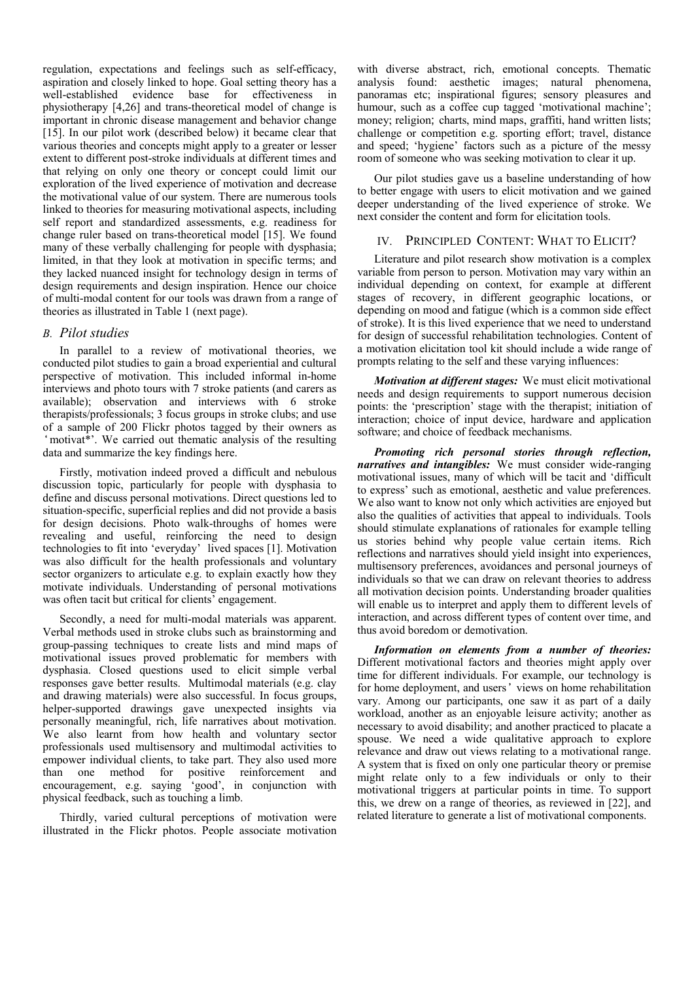regulation, expectations and feelings such as self-efficacy, aspiration and closely linked to hope. Goal setting theory has a well-established evidence base for effectiveness in physiotherapy [4,26] and trans-theoretical model of change is important in chronic disease management and behavior change [15]. In our pilot work (described below) it became clear that various theories and concepts might apply to a greater or lesser extent to different post-stroke individuals at different times and that relying on only one theory or concept could limit our exploration of the lived experience of motivation and decrease the motivational value of our system. There are numerous tools linked to theories for measuring motivational aspects, including self report and standardized assessments, e.g. readiness for change ruler based on trans-theoretical model [15]. We found many of these verbally challenging for people with dysphasia; limited, in that they look at motivation in specific terms; and they lacked nuanced insight for technology design in terms of design requirements and design inspiration. Hence our choice of multi-modal content for our tools was drawn from a range of theories as illustrated in Table 1 (next page).

#### *B. Pilot studies*

In parallel to a review of motivational theories, we conducted pilot studies to gain a broad experiential and cultural perspective of motivation. This included informal in-home interviews and photo tours with 7 stroke patients (and carers as available); observation and interviews with 6 stroke therapists/professionals; 3 focus groups in stroke clubs; and use of a sample of 200 Flickr photos tagged by their owners as 'motivat\*'. We carried out thematic analysis of the resulting data and summarize the key findings here.

Firstly, motivation indeed proved a difficult and nebulous discussion topic, particularly for people with dysphasia to define and discuss personal motivations. Direct questions led to situation-specific, superficial replies and did not provide a basis for design decisions. Photo walk-throughs of homes were revealing and useful, reinforcing the need to design technologies to fit into 'everyday' lived spaces [1]. Motivation was also difficult for the health professionals and voluntary sector organizers to articulate e.g. to explain exactly how they motivate individuals. Understanding of personal motivations was often tacit but critical for clients' engagement.

Secondly, a need for multi-modal materials was apparent. Verbal methods used in stroke clubs such as brainstorming and group-passing techniques to create lists and mind maps of motivational issues proved problematic for members with dysphasia. Closed questions used to elicit simple verbal responses gave better results. Multimodal materials (e.g. clay and drawing materials) were also successful. In focus groups, helper-supported drawings gave unexpected insights via personally meaningful, rich, life narratives about motivation. We also learnt from how health and voluntary sector professionals used multisensory and multimodal activities to empower individual clients, to take part. They also used more than one method for positive reinforcement and encouragement, e.g. saying 'good', in conjunction with physical feedback, such as touching a limb.

Thirdly, varied cultural perceptions of motivation were illustrated in the Flickr photos. People associate motivation with diverse abstract, rich, emotional concepts. Thematic analysis found: aesthetic images; natural phenomena, panoramas etc; inspirational figures; sensory pleasures and humour, such as a coffee cup tagged 'motivational machine'; money; religion; charts, mind maps, graffiti, hand written lists; challenge or competition e.g. sporting effort; travel, distance and speed; 'hygiene' factors such as a picture of the messy room of someone who was seeking motivation to clear it up.

Our pilot studies gave us a baseline understanding of how to better engage with users to elicit motivation and we gained deeper understanding of the lived experience of stroke. We next consider the content and form for elicitation tools.

## IV. PRINCIPLED CONTENT: WHAT TO ELICIT?

Literature and pilot research show motivation is a complex variable from person to person. Motivation may vary within an individual depending on context, for example at different stages of recovery, in different geographic locations, or depending on mood and fatigue (which is a common side effect of stroke). It is this lived experience that we need to understand for design of successful rehabilitation technologies. Content of a motivation elicitation tool kit should include a wide range of prompts relating to the self and these varying influences:

*Motivation at different stages:* We must elicit motivational needs and design requirements to support numerous decision points: the 'prescription' stage with the therapist; initiation of interaction; choice of input device, hardware and application software; and choice of feedback mechanisms.

*Promoting rich personal stories through reflection, narratives and intangibles:* We must consider wide-ranging motivational issues, many of which will be tacit and 'difficult to express' such as emotional, aesthetic and value preferences. We also want to know not only which activities are enjoyed but also the qualities of activities that appeal to individuals. Tools should stimulate explanations of rationales for example telling us stories behind why people value certain items. Rich reflections and narratives should yield insight into experiences, multisensory preferences, avoidances and personal journeys of individuals so that we can draw on relevant theories to address all motivation decision points. Understanding broader qualities will enable us to interpret and apply them to different levels of interaction, and across different types of content over time, and thus avoid boredom or demotivation.

*Information on elements from a number of theories:* Different motivational factors and theories might apply over time for different individuals. For example, our technology is for home deployment, and users' views on home rehabilitation vary. Among our participants, one saw it as part of a daily workload, another as an enjoyable leisure activity; another as necessary to avoid disability; and another practiced to placate a spouse. We need a wide qualitative approach to explore relevance and draw out views relating to a motivational range. A system that is fixed on only one particular theory or premise might relate only to a few individuals or only to their motivational triggers at particular points in time. To support this, we drew on a range of theories, as reviewed in [22], and related literature to generate a list of motivational components.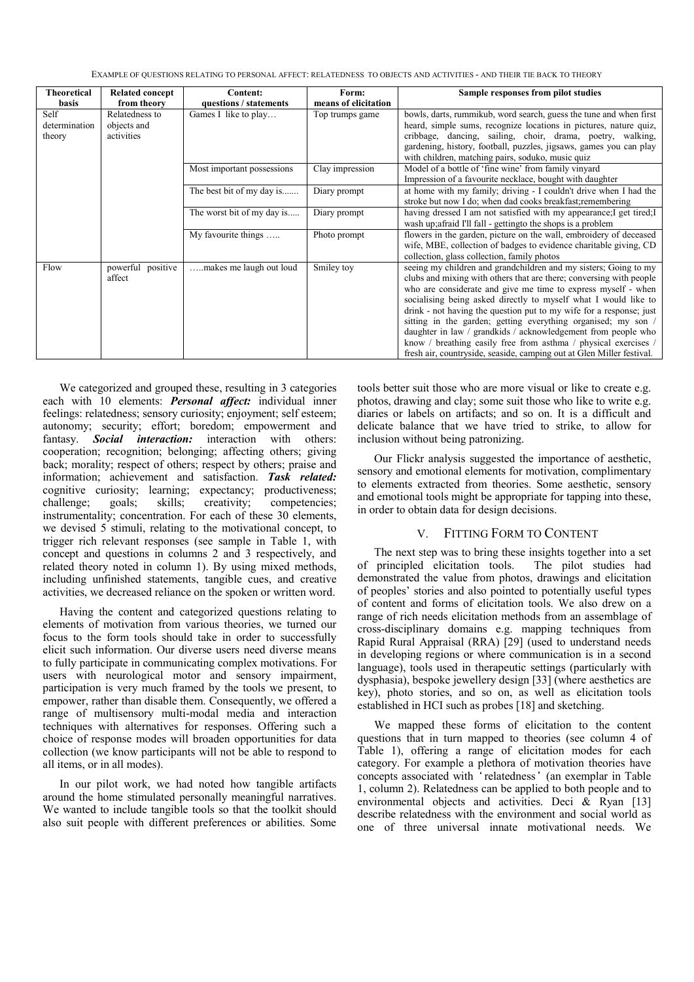EXAMPLE OF QUESTIONS RELATING TO PERSONAL AFFECT: RELATEDNESS TO OBJECTS AND ACTIVITIES - AND THEIR TIE BACK TO THEORY

| Theoretical   | <b>Related concept</b> | Content:                   | Form:                | Sample responses from pilot studies                                                                                              |
|---------------|------------------------|----------------------------|----------------------|----------------------------------------------------------------------------------------------------------------------------------|
| basis         | from theory            | questions / statements     | means of elicitation |                                                                                                                                  |
| Self          | Relatedness to         | Games I like to play       | Top trumps game      | bowls, darts, rummikub, word search, guess the tune and when first                                                               |
| determination | objects and            |                            |                      | heard, simple sums, recognize locations in pictures, nature quiz,                                                                |
| theory        | activities             |                            |                      | cribbage, dancing, sailing, choir, drama, poetry, walking,                                                                       |
|               |                        |                            |                      | gardening, history, football, puzzles, jigsaws, games you can play                                                               |
|               |                        |                            |                      | with children, matching pairs, soduko, music quiz                                                                                |
|               |                        | Most important possessions | Clay impression      | Model of a bottle of 'fine wine' from family vinyard                                                                             |
|               |                        |                            |                      | Impression of a favourite necklace, bought with daughter                                                                         |
|               |                        | The best bit of my day is  | Diary prompt         | at home with my family; driving - I couldn't drive when I had the                                                                |
|               |                        |                            |                      | stroke but now I do; when dad cooks breakfast; remembering                                                                       |
|               |                        | The worst bit of my day is | Diary prompt         | having dressed I am not satisfied with my appearance; I get tired; I                                                             |
|               |                        |                            |                      | wash up; afraid I'll fall - getting to the shops is a problem                                                                    |
|               |                        | My favourite things        | Photo prompt         | flowers in the garden, picture on the wall, embroidery of deceased                                                               |
|               |                        |                            |                      | wife, MBE, collection of badges to evidence charitable giving, CD                                                                |
|               |                        |                            |                      | collection, glass collection, family photos                                                                                      |
| Flow          | powerful positive      | makes me laugh out loud    | Smiley toy           | seeing my children and grandchildren and my sisters; Going to my                                                                 |
|               | affect                 |                            |                      | clubs and mixing with others that are there; conversing with people                                                              |
|               |                        |                            |                      | who are considerate and give me time to express myself - when                                                                    |
|               |                        |                            |                      | socialising being asked directly to myself what I would like to                                                                  |
|               |                        |                            |                      | drink - not having the question put to my wife for a response; just                                                              |
|               |                        |                            |                      | sitting in the garden; getting everything organised; my son /                                                                    |
|               |                        |                            |                      | daughter in law / grandkids / acknowledgement from people who<br>know / breathing easily free from asthma / physical exercises / |
|               |                        |                            |                      | fresh air, countryside, seaside, camping out at Glen Miller festival.                                                            |
|               |                        |                            |                      |                                                                                                                                  |

We categorized and grouped these, resulting in 3 categories each with 10 elements: *Personal affect:* individual inner feelings: relatedness; sensory curiosity; enjoyment; self esteem; autonomy; security; effort; boredom; empowerment and fantasy. **Social interaction:** interaction with others: cooperation; recognition; belonging; affecting others; giving back; morality; respect of others; respect by others; praise and information; achievement and satisfaction. *Task related:* cognitive curiosity; learning; expectancy; productiveness; challenge; goals; skills; creativity; competencies; instrumentality; concentration. For each of these 30 elements, we devised 5 stimuli, relating to the motivational concept, to trigger rich relevant responses (see sample in Table 1, with concept and questions in columns 2 and 3 respectively, and related theory noted in column 1). By using mixed methods, including unfinished statements, tangible cues, and creative activities, we decreased reliance on the spoken or written word.

Having the content and categorized questions relating to elements of motivation from various theories, we turned our focus to the form tools should take in order to successfully elicit such information. Our diverse users need diverse means to fully participate in communicating complex motivations. For users with neurological motor and sensory impairment, participation is very much framed by the tools we present, to empower, rather than disable them. Consequently, we offered a range of multisensory multi-modal media and interaction techniques with alternatives for responses. Offering such a choice of response modes will broaden opportunities for data collection (we know participants will not be able to respond to all items, or in all modes).

In our pilot work, we had noted how tangible artifacts around the home stimulated personally meaningful narratives. We wanted to include tangible tools so that the toolkit should also suit people with different preferences or abilities. Some

tools better suit those who are more visual or like to create e.g. photos, drawing and clay; some suit those who like to write e.g. diaries or labels on artifacts; and so on. It is a difficult and delicate balance that we have tried to strike, to allow for inclusion without being patronizing.

Our Flickr analysis suggested the importance of aesthetic, sensory and emotional elements for motivation, complimentary to elements extracted from theories. Some aesthetic, sensory and emotional tools might be appropriate for tapping into these, in order to obtain data for design decisions.

#### V. FITTING FORM TO CONTENT

The next step was to bring these insights together into a set of principled elicitation tools. The pilot studies had demonstrated the value from photos, drawings and elicitation of peoples' stories and also pointed to potentially useful types of content and forms of elicitation tools. We also drew on a range of rich needs elicitation methods from an assemblage of cross-disciplinary domains e.g. mapping techniques from Rapid Rural Appraisal (RRA) [29] (used to understand needs in developing regions or where communication is in a second language), tools used in therapeutic settings (particularly with dysphasia), bespoke jewellery design [33] (where aesthetics are key), photo stories, and so on, as well as elicitation tools established in HCI such as probes [18] and sketching.

We mapped these forms of elicitation to the content questions that in turn mapped to theories (see column 4 of Table 1), offering a range of elicitation modes for each category. For example a plethora of motivation theories have concepts associated with 'relatedness' (an exemplar in Table 1, column 2). Relatedness can be applied to both people and to environmental objects and activities. Deci & Ryan [13] describe relatedness with the environment and social world as one of three universal innate motivational needs. We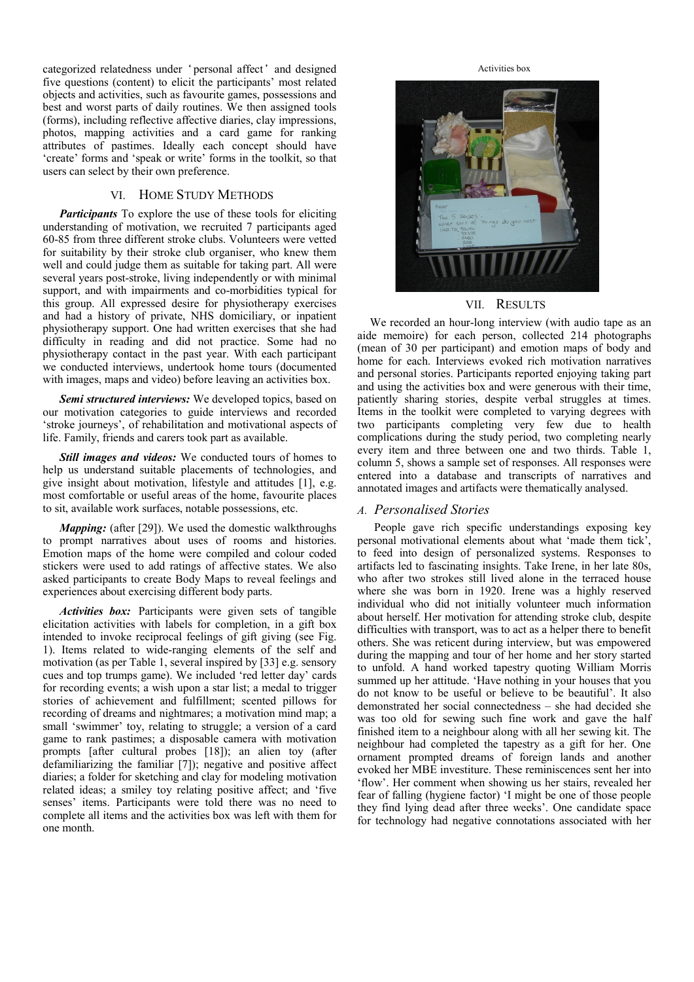categorized relatedness under 'personal affect' and designed five questions (content) to elicit the participants' most related objects and activities, such as favourite games, possessions and best and worst parts of daily routines. We then assigned tools (forms), including reflective affective diaries, clay impressions, photos, mapping activities and a card game for ranking attributes of pastimes. Ideally each concept should have 'create' forms and 'speak or write' forms in the toolkit, so that users can select by their own preference.

#### VI. HOME STUDY METHODS

*Participants* To explore the use of these tools for eliciting understanding of motivation, we recruited 7 participants aged 60-85 from three different stroke clubs. Volunteers were vetted for suitability by their stroke club organiser, who knew them well and could judge them as suitable for taking part. All were several years post-stroke, living independently or with minimal support, and with impairments and co-morbidities typical for this group. All expressed desire for physiotherapy exercises and had a history of private, NHS domiciliary, or inpatient physiotherapy support. One had written exercises that she had difficulty in reading and did not practice. Some had no physiotherapy contact in the past year. With each participant we conducted interviews, undertook home tours (documented with images, maps and video) before leaving an activities box.

*Semi structured interviews:* We developed topics, based on our motivation categories to guide interviews and recorded 'stroke journeys', of rehabilitation and motivational aspects of life. Family, friends and carers took part as available.

*Still images and videos:* We conducted tours of homes to help us understand suitable placements of technologies, and give insight about motivation, lifestyle and attitudes [1], e.g. most comfortable or useful areas of the home, favourite places to sit, available work surfaces, notable possessions, etc.

*Mapping:* (after [29]). We used the domestic walkthroughs to prompt narratives about uses of rooms and histories. Emotion maps of the home were compiled and colour coded stickers were used to add ratings of affective states. We also asked participants to create Body Maps to reveal feelings and experiences about exercising different body parts.

*Activities box:* Participants were given sets of tangible elicitation activities with labels for completion, in a gift box intended to invoke reciprocal feelings of gift giving (see Fig. 1). Items related to wide-ranging elements of the self and motivation (as per Table 1, several inspired by [33] e.g. sensory cues and top trumps game). We included 'red letter day' cards for recording events; a wish upon a star list; a medal to trigger stories of achievement and fulfillment; scented pillows for recording of dreams and nightmares; a motivation mind map; a small 'swimmer' toy, relating to struggle; a version of a card game to rank pastimes; a disposable camera with motivation prompts [after cultural probes [18]); an alien toy (after defamiliarizing the familiar [7]); negative and positive affect diaries; a folder for sketching and clay for modeling motivation related ideas; a smiley toy relating positive affect; and 'five senses' items. Participants were told there was no need to complete all items and the activities box was left with them for one month.

Activities box



#### VII. RESULTS

We recorded an hour-long interview (with audio tape as an aide memoire) for each person, collected 214 photographs (mean of 30 per participant) and emotion maps of body and home for each. Interviews evoked rich motivation narratives and personal stories. Participants reported enjoying taking part and using the activities box and were generous with their time, patiently sharing stories, despite verbal struggles at times. Items in the toolkit were completed to varying degrees with two participants completing very few due to health complications during the study period, two completing nearly every item and three between one and two thirds. Table 1, column 5, shows a sample set of responses. All responses were entered into a database and transcripts of narratives and annotated images and artifacts were thematically analysed.

#### *A. Personalised Stories*

People gave rich specific understandings exposing key personal motivational elements about what 'made them tick', to feed into design of personalized systems. Responses to artifacts led to fascinating insights. Take Irene, in her late 80s, who after two strokes still lived alone in the terraced house where she was born in 1920. Irene was a highly reserved individual who did not initially volunteer much information about herself. Her motivation for attending stroke club, despite difficulties with transport, was to act as a helper there to benefit others. She was reticent during interview, but was empowered during the mapping and tour of her home and her story started to unfold. A hand worked tapestry quoting William Morris summed up her attitude. 'Have nothing in your houses that you do not know to be useful or believe to be beautiful'. It also demonstrated her social connectedness – she had decided she was too old for sewing such fine work and gave the half finished item to a neighbour along with all her sewing kit. The neighbour had completed the tapestry as a gift for her. One ornament prompted dreams of foreign lands and another evoked her MBE investiture. These reminiscences sent her into 'flow'. Her comment when showing us her stairs, revealed her fear of falling (hygiene factor) 'I might be one of those people they find lying dead after three weeks'. One candidate space for technology had negative connotations associated with her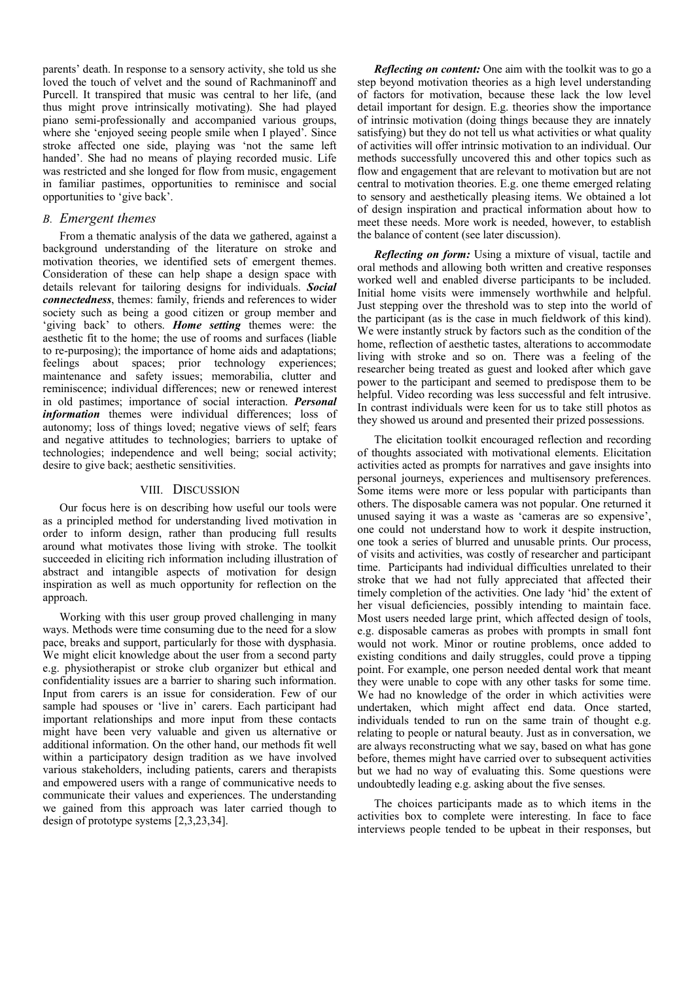parents' death. In response to a sensory activity, she told us she loved the touch of velvet and the sound of Rachmaninoff and Purcell. It transpired that music was central to her life, (and thus might prove intrinsically motivating). She had played piano semi-professionally and accompanied various groups, where she 'enjoyed seeing people smile when I played'. Since stroke affected one side, playing was 'not the same left handed'. She had no means of playing recorded music. Life was restricted and she longed for flow from music, engagement in familiar pastimes, opportunities to reminisce and social opportunities to 'give back'.

#### *B. Emergent themes*

From a thematic analysis of the data we gathered, against a background understanding of the literature on stroke and motivation theories, we identified sets of emergent themes. Consideration of these can help shape a design space with details relevant for tailoring designs for individuals. *Social connectedness*, themes: family, friends and references to wider society such as being a good citizen or group member and 'giving back' to others. *Home setting* themes were: the aesthetic fit to the home; the use of rooms and surfaces (liable to re-purposing); the importance of home aids and adaptations; feelings about spaces; prior technology experiences; maintenance and safety issues; memorabilia, clutter and reminiscence; individual differences; new or renewed interest in old pastimes; importance of social interaction. *Personal information* themes were individual differences; loss of autonomy; loss of things loved; negative views of self; fears and negative attitudes to technologies; barriers to uptake of technologies; independence and well being; social activity; desire to give back; aesthetic sensitivities.

## VIII. DISCUSSION

Our focus here is on describing how useful our tools were as a principled method for understanding lived motivation in order to inform design, rather than producing full results around what motivates those living with stroke. The toolkit succeeded in eliciting rich information including illustration of abstract and intangible aspects of motivation for design inspiration as well as much opportunity for reflection on the approach.

Working with this user group proved challenging in many ways. Methods were time consuming due to the need for a slow pace, breaks and support, particularly for those with dysphasia. We might elicit knowledge about the user from a second party e.g. physiotherapist or stroke club organizer but ethical and confidentiality issues are a barrier to sharing such information. Input from carers is an issue for consideration. Few of our sample had spouses or 'live in' carers. Each participant had important relationships and more input from these contacts might have been very valuable and given us alternative or additional information. On the other hand, our methods fit well within a participatory design tradition as we have involved various stakeholders, including patients, carers and therapists and empowered users with a range of communicative needs to communicate their values and experiences. The understanding we gained from this approach was later carried though to design of prototype systems [2,3,23,34].

*Reflecting on content:* One aim with the toolkit was to go a step beyond motivation theories as a high level understanding of factors for motivation, because these lack the low level detail important for design. E.g. theories show the importance of intrinsic motivation (doing things because they are innately satisfying) but they do not tell us what activities or what quality of activities will offer intrinsic motivation to an individual. Our methods successfully uncovered this and other topics such as flow and engagement that are relevant to motivation but are not central to motivation theories. E.g. one theme emerged relating to sensory and aesthetically pleasing items. We obtained a lot of design inspiration and practical information about how to meet these needs. More work is needed, however, to establish the balance of content (see later discussion).

*Reflecting on form:* Using a mixture of visual, tactile and oral methods and allowing both written and creative responses worked well and enabled diverse participants to be included. Initial home visits were immensely worthwhile and helpful. Just stepping over the threshold was to step into the world of the participant (as is the case in much fieldwork of this kind). We were instantly struck by factors such as the condition of the home, reflection of aesthetic tastes, alterations to accommodate living with stroke and so on. There was a feeling of the researcher being treated as guest and looked after which gave power to the participant and seemed to predispose them to be helpful. Video recording was less successful and felt intrusive. In contrast individuals were keen for us to take still photos as they showed us around and presented their prized possessions.

The elicitation toolkit encouraged reflection and recording of thoughts associated with motivational elements. Elicitation activities acted as prompts for narratives and gave insights into personal journeys, experiences and multisensory preferences. Some items were more or less popular with participants than others. The disposable camera was not popular. One returned it unused saying it was a waste as 'cameras are so expensive', one could not understand how to work it despite instruction, one took a series of blurred and unusable prints. Our process, of visits and activities, was costly of researcher and participant time. Participants had individual difficulties unrelated to their stroke that we had not fully appreciated that affected their timely completion of the activities. One lady 'hid' the extent of her visual deficiencies, possibly intending to maintain face. Most users needed large print, which affected design of tools, e.g. disposable cameras as probes with prompts in small font would not work. Minor or routine problems, once added to existing conditions and daily struggles, could prove a tipping point. For example, one person needed dental work that meant they were unable to cope with any other tasks for some time. We had no knowledge of the order in which activities were undertaken, which might affect end data. Once started, individuals tended to run on the same train of thought e.g. relating to people or natural beauty. Just as in conversation, we are always reconstructing what we say, based on what has gone before, themes might have carried over to subsequent activities but we had no way of evaluating this. Some questions were undoubtedly leading e.g. asking about the five senses.

The choices participants made as to which items in the activities box to complete were interesting. In face to face interviews people tended to be upbeat in their responses, but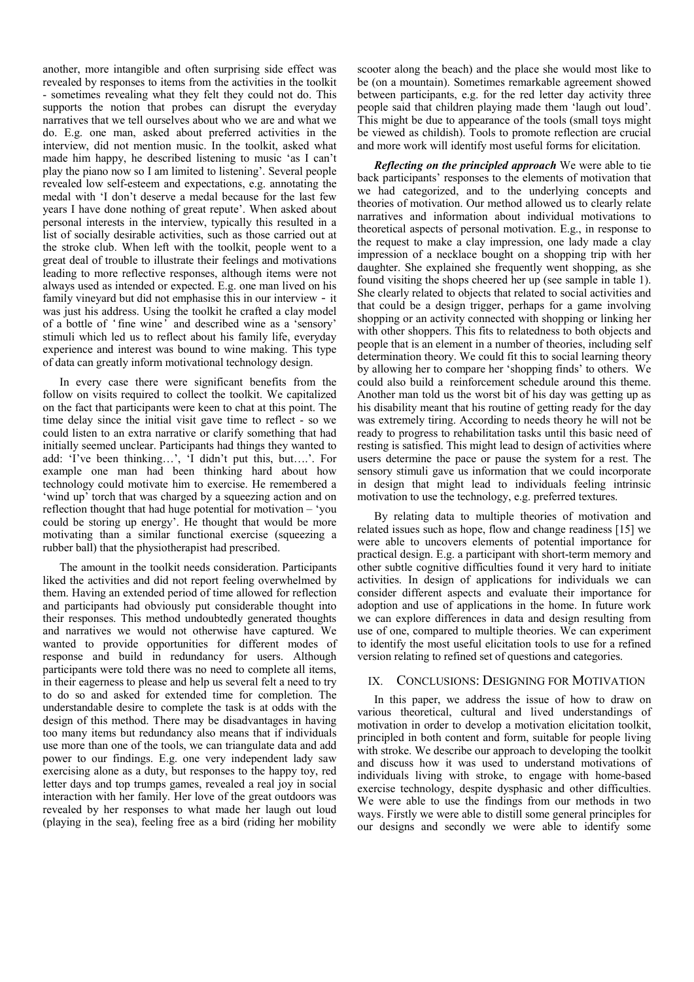another, more intangible and often surprising side effect was revealed by responses to items from the activities in the toolkit - sometimes revealing what they felt they could not do. This supports the notion that probes can disrupt the everyday narratives that we tell ourselves about who we are and what we do. E.g. one man, asked about preferred activities in the interview, did not mention music. In the toolkit, asked what made him happy, he described listening to music 'as I can't play the piano now so I am limited to listening'. Several people revealed low self-esteem and expectations, e.g. annotating the medal with 'I don't deserve a medal because for the last few years I have done nothing of great repute'. When asked about personal interests in the interview, typically this resulted in a list of socially desirable activities, such as those carried out at the stroke club. When left with the toolkit, people went to a great deal of trouble to illustrate their feelings and motivations leading to more reflective responses, although items were not always used as intended or expected. E.g. one man lived on his family vineyard but did not emphasise this in our interview - it was just his address. Using the toolkit he crafted a clay model of a bottle of 'fine wine' and described wine as a 'sensory' stimuli which led us to reflect about his family life, everyday experience and interest was bound to wine making. This type of data can greatly inform motivational technology design.

In every case there were significant benefits from the follow on visits required to collect the toolkit. We capitalized on the fact that participants were keen to chat at this point. The time delay since the initial visit gave time to reflect - so we could listen to an extra narrative or clarify something that had initially seemed unclear. Participants had things they wanted to add: 'I've been thinking…', 'I didn't put this, but….'. For example one man had been thinking hard about how technology could motivate him to exercise. He remembered a 'wind up' torch that was charged by a squeezing action and on reflection thought that had huge potential for motivation – 'you could be storing up energy'. He thought that would be more motivating than a similar functional exercise (squeezing a rubber ball) that the physiotherapist had prescribed.

The amount in the toolkit needs consideration. Participants liked the activities and did not report feeling overwhelmed by them. Having an extended period of time allowed for reflection and participants had obviously put considerable thought into their responses. This method undoubtedly generated thoughts and narratives we would not otherwise have captured. We wanted to provide opportunities for different modes of response and build in redundancy for users. Although participants were told there was no need to complete all items, in their eagerness to please and help us several felt a need to try to do so and asked for extended time for completion. The understandable desire to complete the task is at odds with the design of this method. There may be disadvantages in having too many items but redundancy also means that if individuals use more than one of the tools, we can triangulate data and add power to our findings. E.g. one very independent lady saw exercising alone as a duty, but responses to the happy toy, red letter days and top trumps games, revealed a real joy in social interaction with her family. Her love of the great outdoors was revealed by her responses to what made her laugh out loud (playing in the sea), feeling free as a bird (riding her mobility

scooter along the beach) and the place she would most like to be (on a mountain). Sometimes remarkable agreement showed between participants, e.g. for the red letter day activity three people said that children playing made them 'laugh out loud'. This might be due to appearance of the tools (small toys might be viewed as childish). Tools to promote reflection are crucial and more work will identify most useful forms for elicitation.

*Reflecting on the principled approach* We were able to tie back participants' responses to the elements of motivation that we had categorized, and to the underlying concepts and theories of motivation. Our method allowed us to clearly relate narratives and information about individual motivations to theoretical aspects of personal motivation. E.g., in response to the request to make a clay impression, one lady made a clay impression of a necklace bought on a shopping trip with her daughter. She explained she frequently went shopping, as she found visiting the shops cheered her up (see sample in table 1). She clearly related to objects that related to social activities and that could be a design trigger, perhaps for a game involving shopping or an activity connected with shopping or linking her with other shoppers. This fits to relatedness to both objects and people that is an element in a number of theories, including self determination theory. We could fit this to social learning theory by allowing her to compare her 'shopping finds' to others. We could also build a reinforcement schedule around this theme. Another man told us the worst bit of his day was getting up as his disability meant that his routine of getting ready for the day was extremely tiring. According to needs theory he will not be ready to progress to rehabilitation tasks until this basic need of resting is satisfied. This might lead to design of activities where users determine the pace or pause the system for a rest. The sensory stimuli gave us information that we could incorporate in design that might lead to individuals feeling intrinsic motivation to use the technology, e.g. preferred textures.

By relating data to multiple theories of motivation and related issues such as hope, flow and change readiness [15] we were able to uncovers elements of potential importance for practical design. E.g. a participant with short-term memory and other subtle cognitive difficulties found it very hard to initiate activities. In design of applications for individuals we can consider different aspects and evaluate their importance for adoption and use of applications in the home. In future work we can explore differences in data and design resulting from use of one, compared to multiple theories. We can experiment to identify the most useful elicitation tools to use for a refined version relating to refined set of questions and categories.

#### IX. CONCLUSIONS: DESIGNING FOR MOTIVATION

In this paper, we address the issue of how to draw on various theoretical, cultural and lived understandings of motivation in order to develop a motivation elicitation toolkit, principled in both content and form, suitable for people living with stroke. We describe our approach to developing the toolkit and discuss how it was used to understand motivations of individuals living with stroke, to engage with home-based exercise technology, despite dysphasic and other difficulties. We were able to use the findings from our methods in two ways. Firstly we were able to distill some general principles for our designs and secondly we were able to identify some